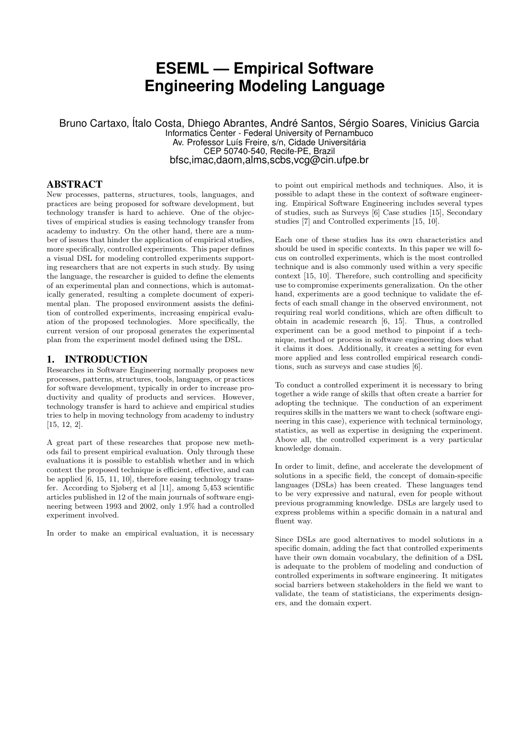# **ESEML — Empirical Software Engineering Modeling Language**

Bruno Cartaxo, Ítalo Costa, Dhiego Abrantes, André Santos, Sérgio Soares, Vinicius Garcia Informatics Center - Federal University of Pernambuco Av. Professor Luís Freire, s/n, Cidade Universitária CEP 50740-540, Recife-PE, Brazil bfsc,imac,daom,alms,scbs,vcg@cin.ufpe.br

## ABSTRACT

New processes, patterns, structures, tools, languages, and practices are being proposed for software development, but technology transfer is hard to achieve. One of the objectives of empirical studies is easing technology transfer from academy to industry. On the other hand, there are a number of issues that hinder the application of empirical studies, more specifically, controlled experiments. This paper defines a visual DSL for modeling controlled experiments supporting researchers that are not experts in such study. By using the language, the researcher is guided to define the elements of an experimental plan and connections, which is automatically generated, resulting a complete document of experimental plan. The proposed environment assists the definition of controlled experiments, increasing empirical evaluation of the proposed technologies. More specifically, the current version of our proposal generates the experimental plan from the experiment model defined using the DSL.

# 1. INTRODUCTION

Researches in Software Engineering normally proposes new processes, patterns, structures, tools, languages, or practices for software development, typically in order to increase productivity and quality of products and services. However, technology transfer is hard to achieve and empirical studies tries to help in moving technology from academy to industry [15, 12, 2].

A great part of these researches that propose new methods fail to present empirical evaluation. Only through these evaluations it is possible to establish whether and in which context the proposed technique is efficient, effective, and can be applied [6, 15, 11, 10], therefore easing technology transfer. According to Sjøberg et al [11], among 5,453 scientific articles published in 12 of the main journals of software engineering between 1993 and 2002, only 1.9% had a controlled experiment involved.

In order to make an empirical evaluation, it is necessary

to point out empirical methods and techniques. Also, it is possible to adapt these in the context of software engineering. Empirical Software Engineering includes several types of studies, such as Surveys [6] Case studies [15], Secondary studies [7] and Controlled experiments [15, 10].

Each one of these studies has its own characteristics and should be used in specific contexts. In this paper we will focus on controlled experiments, which is the most controlled technique and is also commonly used within a very specific context [15, 10]. Therefore, such controlling and specificity use to compromise experiments generalization. On the other hand, experiments are a good technique to validate the effects of each small change in the observed environment, not requiring real world conditions, which are often difficult to obtain in academic research [6, 15]. Thus, a controlled experiment can be a good method to pinpoint if a technique, method or process in software engineering does what it claims it does. Additionally, it creates a setting for even more applied and less controlled empirical research conditions, such as surveys and case studies [6].

To conduct a controlled experiment it is necessary to bring together a wide range of skills that often create a barrier for adopting the technique. The conduction of an experiment requires skills in the matters we want to check (software engineering in this case), experience with technical terminology, statistics, as well as expertise in designing the experiment. Above all, the controlled experiment is a very particular knowledge domain.

In order to limit, define, and accelerate the development of solutions in a specific field, the concept of domain-specific languages (DSLs) has been created. These languages tend to be very expressive and natural, even for people without previous programming knowledge. DSLs are largely used to express problems within a specific domain in a natural and fluent way.

Since DSLs are good alternatives to model solutions in a specific domain, adding the fact that controlled experiments have their own domain vocabulary, the definition of a DSL is adequate to the problem of modeling and conduction of controlled experiments in software engineering. It mitigates social barriers between stakeholders in the field we want to validate, the team of statisticians, the experiments designers, and the domain expert.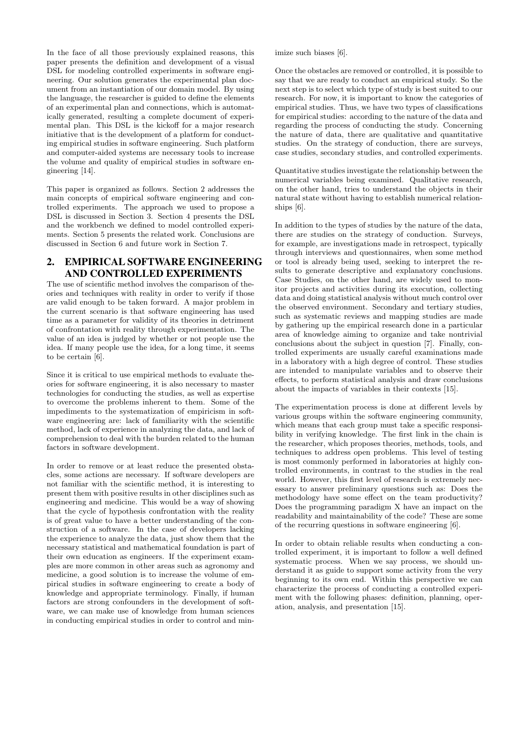In the face of all those previously explained reasons, this paper presents the definition and development of a visual DSL for modeling controlled experiments in software engineering. Our solution generates the experimental plan document from an instantiation of our domain model. By using the language, the researcher is guided to define the elements of an experimental plan and connections, which is automatically generated, resulting a complete document of experimental plan. This DSL is the kickoff for a major research initiative that is the development of a platform for conducting empirical studies in software engineering. Such platform and computer-aided systems are necessary tools to increase the volume and quality of empirical studies in software engineering [14].

This paper is organized as follows. Section 2 addresses the main concepts of empirical software engineering and controlled experiments. The approach we used to propose a DSL is discussed in Section 3. Section 4 presents the DSL and the workbench we defined to model controlled experiments. Section 5 presents the related work. Conclusions are discussed in Section 6 and future work in Section 7.

# 2. EMPIRICAL SOFTWARE ENGINEERING AND CONTROLLED EXPERIMENTS

The use of scientific method involves the comparison of theories and techniques with reality in order to verify if those are valid enough to be taken forward. A major problem in the current scenario is that software engineering has used time as a parameter for validity of its theories in detriment of confrontation with reality through experimentation. The value of an idea is judged by whether or not people use the idea. If many people use the idea, for a long time, it seems to be certain [6].

Since it is critical to use empirical methods to evaluate theories for software engineering, it is also necessary to master technologies for conducting the studies, as well as expertise to overcome the problems inherent to them. Some of the impediments to the systematization of empiricism in software engineering are: lack of familiarity with the scientific method, lack of experience in analyzing the data, and lack of comprehension to deal with the burden related to the human factors in software development.

In order to remove or at least reduce the presented obstacles, some actions are necessary. If software developers are not familiar with the scientific method, it is interesting to present them with positive results in other disciplines such as engineering and medicine. This would be a way of showing that the cycle of hypothesis confrontation with the reality is of great value to have a better understanding of the construction of a software. In the case of developers lacking the experience to analyze the data, just show them that the necessary statistical and mathematical foundation is part of their own education as engineers. If the experiment examples are more common in other areas such as agronomy and medicine, a good solution is to increase the volume of empirical studies in software engineering to create a body of knowledge and appropriate terminology. Finally, if human factors are strong confounders in the development of software, we can make use of knowledge from human sciences in conducting empirical studies in order to control and minimize such biases [6].

Once the obstacles are removed or controlled, it is possible to say that we are ready to conduct an empirical study. So the next step is to select which type of study is best suited to our research. For now, it is important to know the categories of empirical studies. Thus, we have two types of classifications for empirical studies: according to the nature of the data and regarding the process of conducting the study. Concerning the nature of data, there are qualitative and quantitative studies. On the strategy of conduction, there are surveys, case studies, secondary studies, and controlled experiments.

Quantitative studies investigate the relationship between the numerical variables being examined. Qualitative research, on the other hand, tries to understand the objects in their natural state without having to establish numerical relationships [6].

In addition to the types of studies by the nature of the data, there are studies on the strategy of conduction. Surveys, for example, are investigations made in retrospect, typically through interviews and questionnaires, when some method or tool is already being used, seeking to interpret the results to generate descriptive and explanatory conclusions. Case Studies, on the other hand, are widely used to monitor projects and activities during its execution, collecting data and doing statistical analysis without much control over the observed environment. Secondary and tertiary studies, such as systematic reviews and mapping studies are made by gathering up the empirical research done in a particular area of knowledge aiming to organize and take nontrivial conclusions about the subject in question [7]. Finally, controlled experiments are usually careful examinations made in a laboratory with a high degree of control. These studies are intended to manipulate variables and to observe their effects, to perform statistical analysis and draw conclusions about the impacts of variables in their contexts [15].

The experimentation process is done at different levels by various groups within the software engineering community, which means that each group must take a specific responsibility in verifying knowledge. The first link in the chain is the researcher, which proposes theories, methods, tools, and techniques to address open problems. This level of testing is most commonly performed in laboratories at highly controlled environments, in contrast to the studies in the real world. However, this first level of research is extremely necessary to answer preliminary questions such as: Does the methodology have some effect on the team productivity? Does the programming paradigm X have an impact on the readability and maintainability of the code? These are some of the recurring questions in software engineering [6].

In order to obtain reliable results when conducting a controlled experiment, it is important to follow a well defined systematic process. When we say process, we should understand it as guide to support some activity from the very beginning to its own end. Within this perspective we can characterize the process of conducting a controlled experiment with the following phases: definition, planning, operation, analysis, and presentation [15].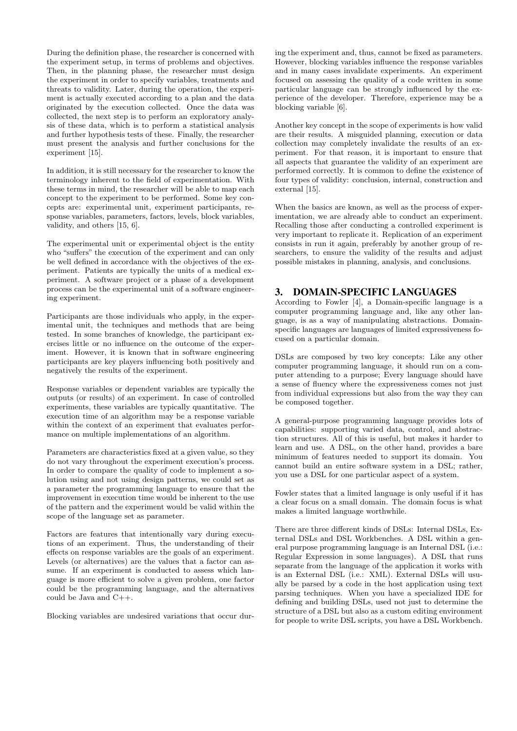During the definition phase, the researcher is concerned with the experiment setup, in terms of problems and objectives. Then, in the planning phase, the researcher must design the experiment in order to specify variables, treatments and threats to validity. Later, during the operation, the experiment is actually executed according to a plan and the data originated by the execution collected. Once the data was collected, the next step is to perform an exploratory analysis of these data, which is to perform a statistical analysis and further hypothesis tests of these. Finally, the researcher must present the analysis and further conclusions for the experiment [15].

In addition, it is still necessary for the researcher to know the terminology inherent to the field of experimentation. With these terms in mind, the researcher will be able to map each concept to the experiment to be performed. Some key concepts are: experimental unit, experiment participants, response variables, parameters, factors, levels, block variables, validity, and others [15, 6].

The experimental unit or experimental object is the entity who "suffers" the execution of the experiment and can only be well defined in accordance with the objectives of the experiment. Patients are typically the units of a medical experiment. A software project or a phase of a development process can be the experimental unit of a software engineering experiment.

Participants are those individuals who apply, in the experimental unit, the techniques and methods that are being tested. In some branches of knowledge, the participant exercises little or no influence on the outcome of the experiment. However, it is known that in software engineering participants are key players influencing both positively and negatively the results of the experiment.

Response variables or dependent variables are typically the outputs (or results) of an experiment. In case of controlled experiments, these variables are typically quantitative. The execution time of an algorithm may be a response variable within the context of an experiment that evaluates performance on multiple implementations of an algorithm.

Parameters are characteristics fixed at a given value, so they do not vary throughout the experiment execution's process. In order to compare the quality of code to implement a solution using and not using design patterns, we could set as a parameter the programming language to ensure that the improvement in execution time would be inherent to the use of the pattern and the experiment would be valid within the scope of the language set as parameter.

Factors are features that intentionally vary during executions of an experiment. Thus, the understanding of their effects on response variables are the goals of an experiment. Levels (or alternatives) are the values that a factor can assume. If an experiment is conducted to assess which language is more efficient to solve a given problem, one factor could be the programming language, and the alternatives could be Java and C++.

Blocking variables are undesired variations that occur dur-

ing the experiment and, thus, cannot be fixed as parameters. However, blocking variables influence the response variables and in many cases invalidate experiments. An experiment focused on assessing the quality of a code written in some particular language can be strongly influenced by the experience of the developer. Therefore, experience may be a blocking variable [6].

Another key concept in the scope of experiments is how valid are their results. A misguided planning, execution or data collection may completely invalidate the results of an experiment. For that reason, it is important to ensure that all aspects that guarantee the validity of an experiment are performed correctly. It is common to define the existence of four types of validity: conclusion, internal, construction and external [15].

When the basics are known, as well as the process of experimentation, we are already able to conduct an experiment. Recalling those after conducting a controlled experiment is very important to replicate it. Replication of an experiment consists in run it again, preferably by another group of researchers, to ensure the validity of the results and adjust possible mistakes in planning, analysis, and conclusions.

## 3. DOMAIN-SPECIFIC LANGUAGES

According to Fowler [4], a Domain-specific language is a computer programming language and, like any other language, is as a way of manipulating abstractions. Domainspecific languages are languages of limited expressiveness focused on a particular domain.

DSLs are composed by two key concepts: Like any other computer programming language, it should run on a computer attending to a purpose; Every language should have a sense of fluency where the expressiveness comes not just from individual expressions but also from the way they can be composed together.

A general-purpose programming language provides lots of capabilities: supporting varied data, control, and abstraction structures. All of this is useful, but makes it harder to learn and use. A DSL, on the other hand, provides a bare minimum of features needed to support its domain. You cannot build an entire software system in a DSL; rather, you use a DSL for one particular aspect of a system.

Fowler states that a limited language is only useful if it has a clear focus on a small domain. The domain focus is what makes a limited language worthwhile.

There are three different kinds of DSLs: Internal DSLs, External DSLs and DSL Workbenches. A DSL within a general purpose programming language is an Internal DSL (i.e.: Regular Expression in some languages). A DSL that runs separate from the language of the application it works with is an External DSL (i.e.: XML). External DSLs will usually be parsed by a code in the host application using text parsing techniques. When you have a specialized IDE for defining and building DSLs, used not just to determine the structure of a DSL but also as a custom editing environment for people to write DSL scripts, you have a DSL Workbench.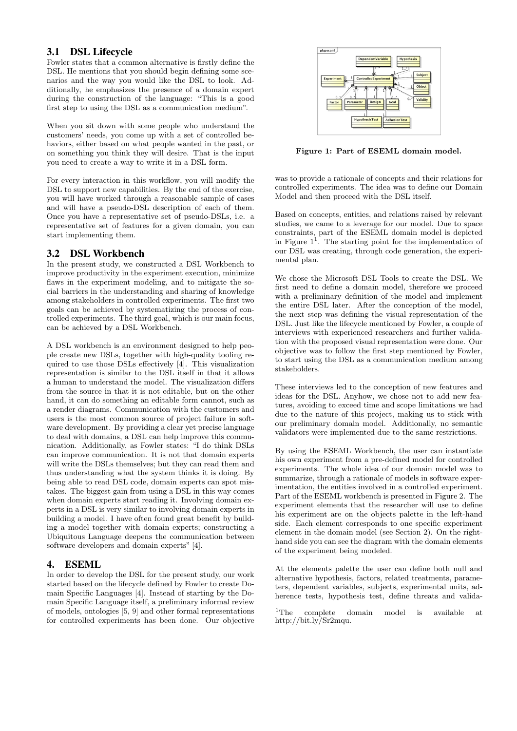## 3.1 DSL Lifecycle

Fowler states that a common alternative is firstly define the DSL. He mentions that you should begin defining some scenarios and the way you would like the DSL to look. Additionally, he emphasizes the presence of a domain expert during the construction of the language: "This is a good first step to using the DSL as a communication medium".

When you sit down with some people who understand the customers' needs, you come up with a set of controlled behaviors, either based on what people wanted in the past, or on something you think they will desire. That is the input you need to create a way to write it in a DSL form.

For every interaction in this workflow, you will modify the DSL to support new capabilities. By the end of the exercise, you will have worked through a reasonable sample of cases and will have a pseudo-DSL description of each of them. Once you have a representative set of pseudo-DSLs, i.e. a representative set of features for a given domain, you can start implementing them.

#### 3.2 DSL Workbench

In the present study, we constructed a DSL Workbench to improve productivity in the experiment execution, minimize flaws in the experiment modeling, and to mitigate the social barriers in the understanding and sharing of knowledge among stakeholders in controlled experiments. The first two goals can be achieved by systematizing the process of controlled experiments. The third goal, which is our main focus, can be achieved by a DSL Workbench.

A DSL workbench is an environment designed to help people create new DSLs, together with high-quality tooling required to use those DSLs effectively [4]. This visualization representation is similar to the DSL itself in that it allows a human to understand the model. The visualization differs from the source in that it is not editable, but on the other hand, it can do something an editable form cannot, such as a render diagrams. Communication with the customers and users is the most common source of project failure in software development. By providing a clear yet precise language to deal with domains, a DSL can help improve this communication. Additionally, as Fowler states: "I do think DSLs can improve communication. It is not that domain experts will write the DSLs themselves; but they can read them and thus understanding what the system thinks it is doing. By being able to read DSL code, domain experts can spot mistakes. The biggest gain from using a DSL in this way comes when domain experts start reading it. Involving domain experts in a DSL is very similar to involving domain experts in building a model. I have often found great benefit by building a model together with domain experts; constructing a Ubiquitous Language deepens the communication between software developers and domain experts" [4].

## 4. ESEML

In order to develop the DSL for the present study, our work started based on the lifecycle defined by Fowler to create Domain Specific Languages [4]. Instead of starting by the Domain Specific Language itself, a preliminary informal review of models, ontologies [5, 9] and other formal representations for controlled experiments has been done. Our objective



Figure 1: Part of ESEML domain model.

was to provide a rationale of concepts and their relations for controlled experiments. The idea was to define our Domain Model and then proceed with the DSL itself.

Based on concepts, entities, and relations raised by relevant studies, we came to a leverage for our model. Due to space constraints, part of the ESEML domain model is depicted in Figure  $1<sup>1</sup>$ . The starting point for the implementation of our DSL was creating, through code generation, the experimental plan.

We chose the Microsoft DSL Tools to create the DSL. We first need to define a domain model, therefore we proceed with a preliminary definition of the model and implement the entire DSL later. After the conception of the model, the next step was defining the visual representation of the DSL. Just like the lifecycle mentioned by Fowler, a couple of interviews with experienced researchers and further validation with the proposed visual representation were done. Our objective was to follow the first step mentioned by Fowler, to start using the DSL as a communication medium among stakeholders.

These interviews led to the conception of new features and ideas for the DSL. Anyhow, we chose not to add new features, avoiding to exceed time and scope limitations we had due to the nature of this project, making us to stick with our preliminary domain model. Additionally, no semantic validators were implemented due to the same restrictions.

By using the ESEML Workbench, the user can instantiate his own experiment from a pre-defined model for controlled experiments. The whole idea of our domain model was to summarize, through a rationale of models in software experimentation, the entities involved in a controlled experiment. Part of the ESEML workbench is presented in Figure 2. The experiment elements that the researcher will use to define his experiment are on the objects palette in the left-hand side. Each element corresponds to one specific experiment element in the domain model (see Section 2). On the righthand side you can see the diagram with the domain elements of the experiment being modeled.

At the elements palette the user can define both null and alternative hypothesis, factors, related treatments, parameters, dependent variables, subjects, experimental units, adherence tests, hypothesis test, define threats and valida-

<sup>1</sup>The complete domain model is available at http://bit.ly/Sr2mqu.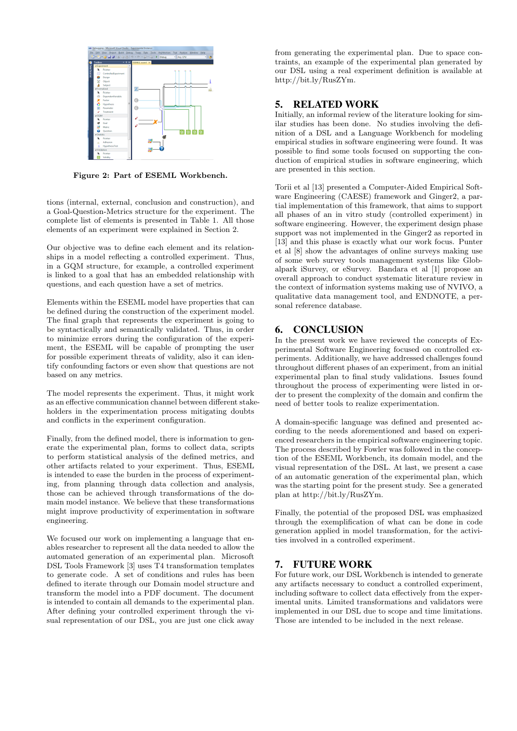

Figure 2: Part of ESEML Workbench.

tions (internal, external, conclusion and construction), and a Goal-Question-Metrics structure for the experiment. The complete list of elements is presented in Table 1. All those elements of an experiment were explained in Section 2.

Our objective was to define each element and its relationships in a model reflecting a controlled experiment. Thus, in a GQM structure, for example, a controlled experiment is linked to a goal that has an embedded relationship with questions, and each question have a set of metrics.

Elements within the ESEML model have properties that can be defined during the construction of the experiment model. The final graph that represents the experiment is going to be syntactically and semantically validated. Thus, in order to minimize errors during the configuration of the experiment, the ESEML will be capable of prompting the user for possible experiment threats of validity, also it can identify confounding factors or even show that questions are not based on any metrics.

The model represents the experiment. Thus, it might work as an effective communication channel between different stakeholders in the experimentation process mitigating doubts and conflicts in the experiment configuration.

Finally, from the defined model, there is information to generate the experimental plan, forms to collect data, scripts to perform statistical analysis of the defined metrics, and other artifacts related to your experiment. Thus, ESEML is intended to ease the burden in the process of experimenting, from planning through data collection and analysis, those can be achieved through transformations of the domain model instance. We believe that these transformations might improve productivity of experimentation in software engineering.

We focused our work on implementing a language that enables researcher to represent all the data needed to allow the automated generation of an experimental plan. Microsoft DSL Tools Framework [3] uses T4 transformation templates to generate code. A set of conditions and rules has been defined to iterate through our Domain model structure and transform the model into a PDF document. The document is intended to contain all demands to the experimental plan. After defining your controlled experiment through the visual representation of our DSL, you are just one click away

from generating the experimental plan. Due to space contraints, an example of the experimental plan generated by our DSL using a real experiment definition is available at http://bit.ly/RusZYm.

## 5. RELATED WORK

Initially, an informal review of the literature looking for similar studies has been done. No studies involving the definition of a DSL and a Language Workbench for modeling empirical studies in software engineering were found. It was possible to find some tools focused on supporting the conduction of empirical studies in software engineering, which are presented in this section.

Torii et al [13] presented a Computer-Aided Empirical Software Engineering (CAESE) framework and Ginger2, a partial implementation of this framework, that aims to support all phases of an in vitro study (controlled experiment) in software engineering. However, the experiment design phase support was not implemented in the Ginger2 as reported in [13] and this phase is exactly what our work focus. Punter et al [8] show the advantages of online surveys making use of some web survey tools management systems like Globalpark iSurvey, or eSurvey. Bandara et al [1] propose an overall approach to conduct systematic literature review in the context of information systems making use of NVIVO, a qualitative data management tool, and ENDNOTE, a personal reference database.

# 6. CONCLUSION

In the present work we have reviewed the concepts of Experimental Software Engineering focused on controlled experiments. Additionally, we have addressed challenges found throughout different phases of an experiment, from an initial experimental plan to final study validations. Issues found throughout the process of experimenting were listed in order to present the complexity of the domain and confirm the need of better tools to realize experimentation.

A domain-specific language was defined and presented according to the needs aforementioned and based on experienced researchers in the empirical software engineering topic. The process described by Fowler was followed in the conception of the ESEML Workbench, its domain model, and the visual representation of the DSL. At last, we present a case of an automatic generation of the experimental plan, which was the starting point for the present study. See a generated plan at http://bit.ly/RusZYm.

Finally, the potential of the proposed DSL was emphasized through the exemplification of what can be done in code generation applied in model transformation, for the activities involved in a controlled experiment.

# 7. FUTURE WORK

For future work, our DSL Workbench is intended to generate any artifacts necessary to conduct a controlled experiment, including software to collect data effectively from the experimental units. Limited transformations and validators were implemented in our DSL due to scope and time limitations. Those are intended to be included in the next release.